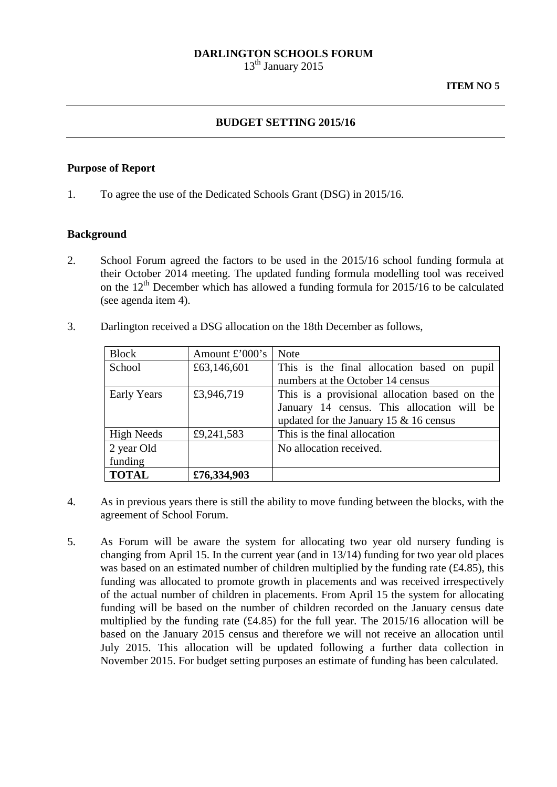#### **DARLINGTON SCHOOLS FORUM**

 $13<sup>th</sup>$  January 2015

#### **BUDGET SETTING 2015/16**

#### **Purpose of Report**

1. To agree the use of the Dedicated Schools Grant (DSG) in 2015/16.

#### **Background**

- 2. School Forum agreed the factors to be used in the 2015/16 school funding formula at their October 2014 meeting. The updated funding formula modelling tool was received on the  $12<sup>th</sup>$  December which has allowed a funding formula for 2015/16 to be calculated (see agenda item 4).
- 3. Darlington received a DSG allocation on the 18th December as follows,

| <b>Block</b>       | Amount $\pounds$ '000's | <b>Note</b>                                   |  |
|--------------------|-------------------------|-----------------------------------------------|--|
| School             | £63,146,601             | This is the final allocation based on pupil   |  |
|                    |                         | numbers at the October 14 census              |  |
| <b>Early Years</b> | £3,946,719              | This is a provisional allocation based on the |  |
|                    |                         | January 14 census. This allocation will be    |  |
|                    |                         | updated for the January 15 $&$ 16 census      |  |
| <b>High Needs</b>  | £9,241,583              | This is the final allocation                  |  |
| 2 year Old         |                         | No allocation received.                       |  |
| funding            |                         |                                               |  |
| <b>TOTAL</b>       | £76,334,903             |                                               |  |

- 4. As in previous years there is still the ability to move funding between the blocks, with the agreement of School Forum.
- 5. As Forum will be aware the system for allocating two year old nursery funding is changing from April 15. In the current year (and in 13/14) funding for two year old places was based on an estimated number of children multiplied by the funding rate (£4.85), this funding was allocated to promote growth in placements and was received irrespectively of the actual number of children in placements. From April 15 the system for allocating funding will be based on the number of children recorded on the January census date multiplied by the funding rate (£4.85) for the full year. The 2015/16 allocation will be based on the January 2015 census and therefore we will not receive an allocation until July 2015. This allocation will be updated following a further data collection in November 2015. For budget setting purposes an estimate of funding has been calculated.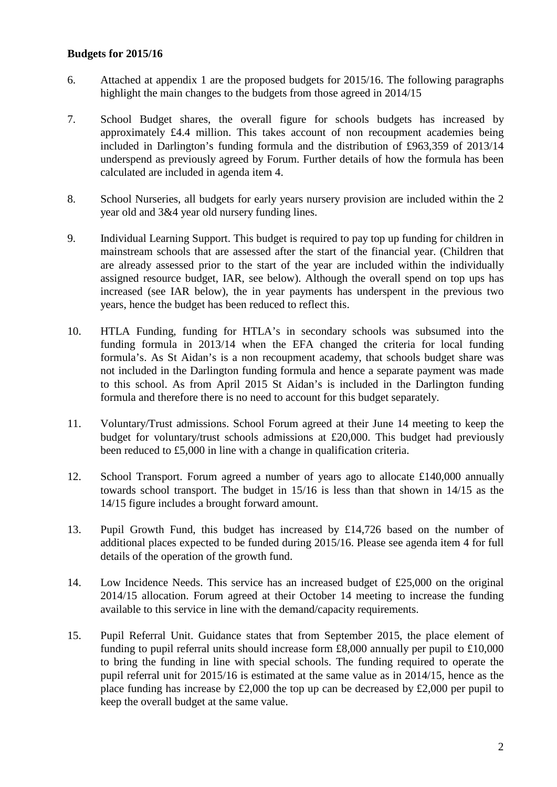### **Budgets for 2015/16**

- 6. Attached at appendix 1 are the proposed budgets for 2015/16. The following paragraphs highlight the main changes to the budgets from those agreed in 2014/15
- 7. School Budget shares, the overall figure for schools budgets has increased by approximately £4.4 million. This takes account of non recoupment academies being included in Darlington's funding formula and the distribution of £963,359 of 2013/14 underspend as previously agreed by Forum. Further details of how the formula has been calculated are included in agenda item 4.
- 8. School Nurseries, all budgets for early years nursery provision are included within the 2 year old and 3&4 year old nursery funding lines.
- 9. Individual Learning Support. This budget is required to pay top up funding for children in mainstream schools that are assessed after the start of the financial year. (Children that are already assessed prior to the start of the year are included within the individually assigned resource budget, IAR, see below). Although the overall spend on top ups has increased (see IAR below), the in year payments has underspent in the previous two years, hence the budget has been reduced to reflect this.
- 10. HTLA Funding, funding for HTLA's in secondary schools was subsumed into the funding formula in 2013/14 when the EFA changed the criteria for local funding formula's. As St Aidan's is a non recoupment academy, that schools budget share was not included in the Darlington funding formula and hence a separate payment was made to this school. As from April 2015 St Aidan's is included in the Darlington funding formula and therefore there is no need to account for this budget separately.
- 11. Voluntary/Trust admissions. School Forum agreed at their June 14 meeting to keep the budget for voluntary/trust schools admissions at £20,000. This budget had previously been reduced to £5,000 in line with a change in qualification criteria.
- 12. School Transport. Forum agreed a number of years ago to allocate £140,000 annually towards school transport. The budget in 15/16 is less than that shown in 14/15 as the 14/15 figure includes a brought forward amount.
- 13. Pupil Growth Fund, this budget has increased by £14,726 based on the number of additional places expected to be funded during 2015/16. Please see agenda item 4 for full details of the operation of the growth fund.
- 14. Low Incidence Needs. This service has an increased budget of £25,000 on the original 2014/15 allocation. Forum agreed at their October 14 meeting to increase the funding available to this service in line with the demand/capacity requirements.
- 15. Pupil Referral Unit. Guidance states that from September 2015, the place element of funding to pupil referral units should increase form £8,000 annually per pupil to £10,000 to bring the funding in line with special schools. The funding required to operate the pupil referral unit for 2015/16 is estimated at the same value as in 2014/15, hence as the place funding has increase by  $£2,000$  the top up can be decreased by  $£2,000$  per pupil to keep the overall budget at the same value.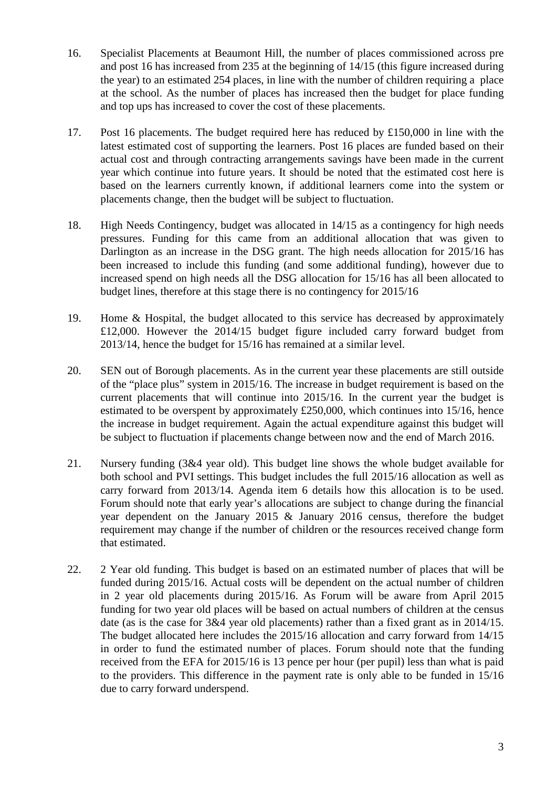- 16. Specialist Placements at Beaumont Hill, the number of places commissioned across pre and post 16 has increased from 235 at the beginning of 14/15 (this figure increased during the year) to an estimated 254 places, in line with the number of children requiring a place at the school. As the number of places has increased then the budget for place funding and top ups has increased to cover the cost of these placements.
- 17. Post 16 placements. The budget required here has reduced by £150,000 in line with the latest estimated cost of supporting the learners. Post 16 places are funded based on their actual cost and through contracting arrangements savings have been made in the current year which continue into future years. It should be noted that the estimated cost here is based on the learners currently known, if additional learners come into the system or placements change, then the budget will be subject to fluctuation.
- 18. High Needs Contingency, budget was allocated in 14/15 as a contingency for high needs pressures. Funding for this came from an additional allocation that was given to Darlington as an increase in the DSG grant. The high needs allocation for 2015/16 has been increased to include this funding (and some additional funding), however due to increased spend on high needs all the DSG allocation for 15/16 has all been allocated to budget lines, therefore at this stage there is no contingency for 2015/16
- 19. Home & Hospital, the budget allocated to this service has decreased by approximately £12,000. However the 2014/15 budget figure included carry forward budget from 2013/14, hence the budget for 15/16 has remained at a similar level.
- 20. SEN out of Borough placements. As in the current year these placements are still outside of the "place plus" system in 2015/16. The increase in budget requirement is based on the current placements that will continue into 2015/16. In the current year the budget is estimated to be overspent by approximately £250,000, which continues into 15/16, hence the increase in budget requirement. Again the actual expenditure against this budget will be subject to fluctuation if placements change between now and the end of March 2016.
- 21. Nursery funding (3&4 year old). This budget line shows the whole budget available for both school and PVI settings. This budget includes the full 2015/16 allocation as well as carry forward from 2013/14. Agenda item 6 details how this allocation is to be used. Forum should note that early year's allocations are subject to change during the financial year dependent on the January 2015 & January 2016 census, therefore the budget requirement may change if the number of children or the resources received change form that estimated.
- 22. 2 Year old funding. This budget is based on an estimated number of places that will be funded during 2015/16. Actual costs will be dependent on the actual number of children in 2 year old placements during 2015/16. As Forum will be aware from April 2015 funding for two year old places will be based on actual numbers of children at the census date (as is the case for 3&4 year old placements) rather than a fixed grant as in 2014/15. The budget allocated here includes the 2015/16 allocation and carry forward from 14/15 in order to fund the estimated number of places. Forum should note that the funding received from the EFA for 2015/16 is 13 pence per hour (per pupil) less than what is paid to the providers. This difference in the payment rate is only able to be funded in 15/16 due to carry forward underspend.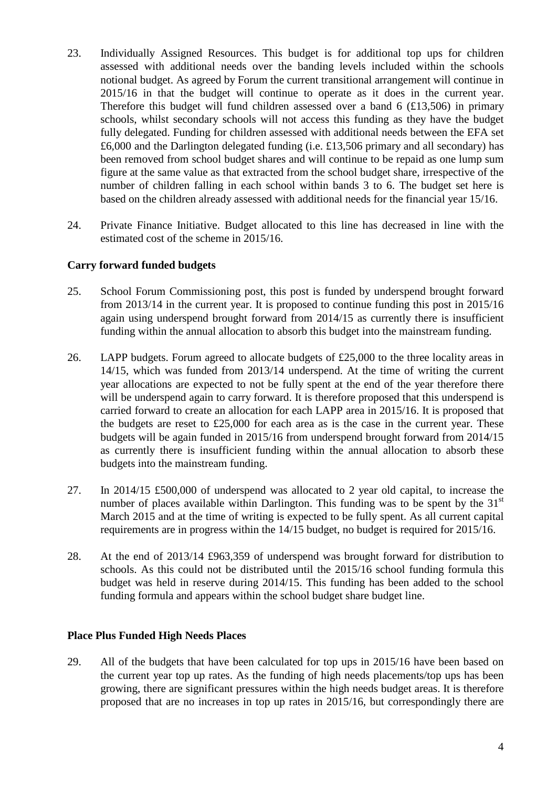- 23. Individually Assigned Resources. This budget is for additional top ups for children assessed with additional needs over the banding levels included within the schools notional budget. As agreed by Forum the current transitional arrangement will continue in 2015/16 in that the budget will continue to operate as it does in the current year. Therefore this budget will fund children assessed over a band  $6$  (£13,506) in primary schools, whilst secondary schools will not access this funding as they have the budget fully delegated. Funding for children assessed with additional needs between the EFA set £6,000 and the Darlington delegated funding (i.e. £13,506 primary and all secondary) has been removed from school budget shares and will continue to be repaid as one lump sum figure at the same value as that extracted from the school budget share, irrespective of the number of children falling in each school within bands 3 to 6. The budget set here is based on the children already assessed with additional needs for the financial year 15/16.
- 24. Private Finance Initiative. Budget allocated to this line has decreased in line with the estimated cost of the scheme in 2015/16.

## **Carry forward funded budgets**

- 25. School Forum Commissioning post, this post is funded by underspend brought forward from 2013/14 in the current year. It is proposed to continue funding this post in 2015/16 again using underspend brought forward from 2014/15 as currently there is insufficient funding within the annual allocation to absorb this budget into the mainstream funding.
- 26. LAPP budgets. Forum agreed to allocate budgets of £25,000 to the three locality areas in 14/15, which was funded from 2013/14 underspend. At the time of writing the current year allocations are expected to not be fully spent at the end of the year therefore there will be underspend again to carry forward. It is therefore proposed that this underspend is carried forward to create an allocation for each LAPP area in 2015/16. It is proposed that the budgets are reset to  $£25,000$  for each area as is the case in the current year. These budgets will be again funded in 2015/16 from underspend brought forward from 2014/15 as currently there is insufficient funding within the annual allocation to absorb these budgets into the mainstream funding.
- 27. In 2014/15 £500,000 of underspend was allocated to 2 year old capital, to increase the number of places available within Darlington. This funding was to be spent by the  $31<sup>st</sup>$ March 2015 and at the time of writing is expected to be fully spent. As all current capital requirements are in progress within the 14/15 budget, no budget is required for 2015/16.
- 28. At the end of 2013/14 £963,359 of underspend was brought forward for distribution to schools. As this could not be distributed until the 2015/16 school funding formula this budget was held in reserve during 2014/15. This funding has been added to the school funding formula and appears within the school budget share budget line.

## **Place Plus Funded High Needs Places**

29. All of the budgets that have been calculated for top ups in 2015/16 have been based on the current year top up rates. As the funding of high needs placements/top ups has been growing, there are significant pressures within the high needs budget areas. It is therefore proposed that are no increases in top up rates in 2015/16, but correspondingly there are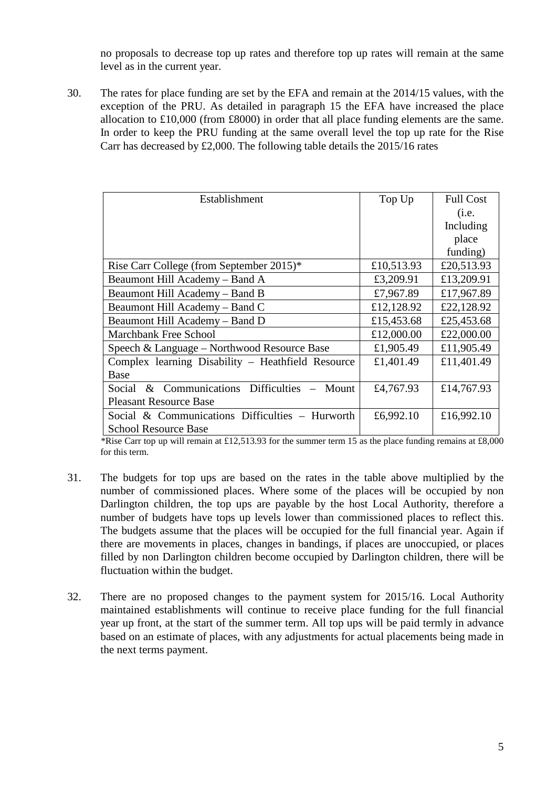no proposals to decrease top up rates and therefore top up rates will remain at the same level as in the current year.

30. The rates for place funding are set by the EFA and remain at the 2014/15 values, with the exception of the PRU. As detailed in paragraph 15 the EFA have increased the place allocation to £10,000 (from £8000) in order that all place funding elements are the same. In order to keep the PRU funding at the same overall level the top up rate for the Rise Carr has decreased by £2,000. The following table details the 2015/16 rates

| Establishment                                        | Top Up     | <b>Full Cost</b> |
|------------------------------------------------------|------------|------------------|
|                                                      |            | (i.e.            |
|                                                      |            | Including        |
|                                                      |            | place            |
|                                                      |            | funding)         |
| Rise Carr College (from September 2015)*             | £10,513.93 | £20,513.93       |
| Beaumont Hill Academy – Band A                       | £3,209.91  | £13,209.91       |
| Beaumont Hill Academy - Band B                       | £7,967.89  | £17,967.89       |
| Beaumont Hill Academy – Band C                       | £12,128.92 | £22,128.92       |
| Beaumont Hill Academy - Band D                       | £15,453.68 | £25,453.68       |
| <b>Marchbank Free School</b>                         | £12,000.00 | £22,000.00       |
| Speech & Language – Northwood Resource Base          | £1,905.49  | £11,905.49       |
| Complex learning Disability - Heathfield Resource    | £1,401.49  | £11,401.49       |
| Base                                                 |            |                  |
| & Communications Difficulties<br>Social<br>$-$ Mount | £4,767.93  | £14,767.93       |
| <b>Pleasant Resource Base</b>                        |            |                  |
| Social & Communications Difficulties – Hurworth      | £6,992.10  | £16,992.10       |
| <b>School Resource Base</b>                          |            |                  |

\*Rise Carr top up will remain at £12,513.93 for the summer term 15 as the place funding remains at £8,000 for this term.

- 31. The budgets for top ups are based on the rates in the table above multiplied by the number of commissioned places. Where some of the places will be occupied by non Darlington children, the top ups are payable by the host Local Authority, therefore a number of budgets have tops up levels lower than commissioned places to reflect this. The budgets assume that the places will be occupied for the full financial year. Again if there are movements in places, changes in bandings, if places are unoccupied, or places filled by non Darlington children become occupied by Darlington children, there will be fluctuation within the budget.
- 32. There are no proposed changes to the payment system for 2015/16. Local Authority maintained establishments will continue to receive place funding for the full financial year up front, at the start of the summer term. All top ups will be paid termly in advance based on an estimate of places, with any adjustments for actual placements being made in the next terms payment.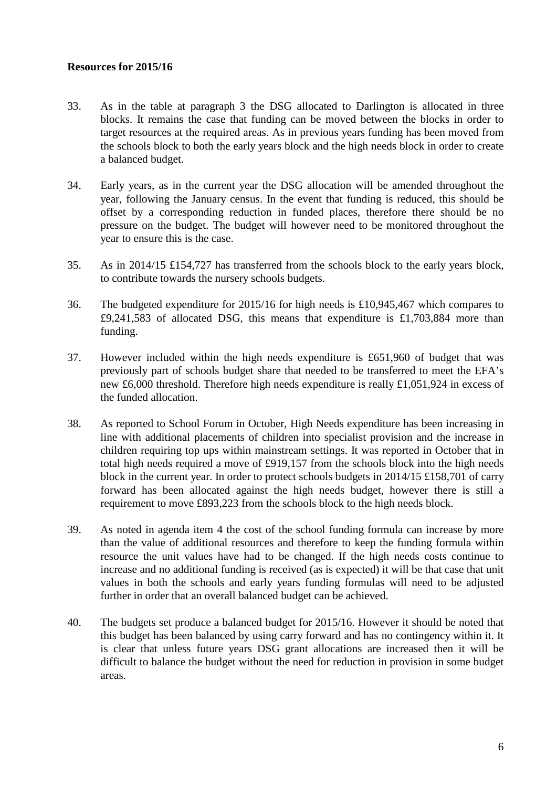### **Resources for 2015/16**

- 33. As in the table at paragraph 3 the DSG allocated to Darlington is allocated in three blocks. It remains the case that funding can be moved between the blocks in order to target resources at the required areas. As in previous years funding has been moved from the schools block to both the early years block and the high needs block in order to create a balanced budget.
- 34. Early years, as in the current year the DSG allocation will be amended throughout the year, following the January census. In the event that funding is reduced, this should be offset by a corresponding reduction in funded places, therefore there should be no pressure on the budget. The budget will however need to be monitored throughout the year to ensure this is the case.
- 35. As in 2014/15 £154,727 has transferred from the schools block to the early years block, to contribute towards the nursery schools budgets.
- 36. The budgeted expenditure for 2015/16 for high needs is £10,945,467 which compares to £9,241,583 of allocated DSG, this means that expenditure is £1,703,884 more than funding.
- 37. However included within the high needs expenditure is £651,960 of budget that was previously part of schools budget share that needed to be transferred to meet the EFA's new £6,000 threshold. Therefore high needs expenditure is really £1,051,924 in excess of the funded allocation.
- 38. As reported to School Forum in October, High Needs expenditure has been increasing in line with additional placements of children into specialist provision and the increase in children requiring top ups within mainstream settings. It was reported in October that in total high needs required a move of £919,157 from the schools block into the high needs block in the current year. In order to protect schools budgets in 2014/15 £158,701 of carry forward has been allocated against the high needs budget, however there is still a requirement to move £893,223 from the schools block to the high needs block.
- 39. As noted in agenda item 4 the cost of the school funding formula can increase by more than the value of additional resources and therefore to keep the funding formula within resource the unit values have had to be changed. If the high needs costs continue to increase and no additional funding is received (as is expected) it will be that case that unit values in both the schools and early years funding formulas will need to be adjusted further in order that an overall balanced budget can be achieved.
- 40. The budgets set produce a balanced budget for 2015/16. However it should be noted that this budget has been balanced by using carry forward and has no contingency within it. It is clear that unless future years DSG grant allocations are increased then it will be difficult to balance the budget without the need for reduction in provision in some budget areas.